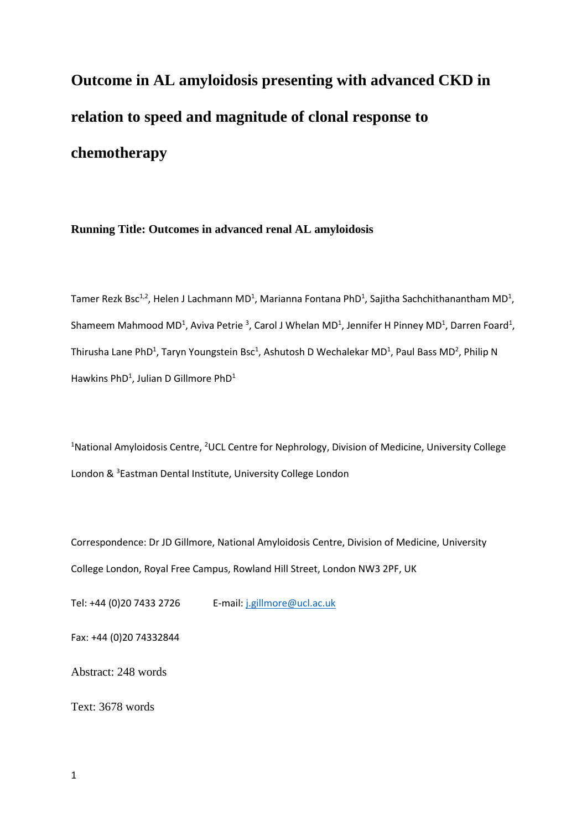**Outcome in AL amyloidosis presenting with advanced CKD in relation to speed and magnitude of clonal response to chemotherapy**

**Running Title: Outcomes in advanced renal AL amyloidosis**

Tamer Rezk Bsc<sup>1,2</sup>, Helen J Lachmann MD<sup>1</sup>, Marianna Fontana PhD<sup>1</sup>, Sajitha Sachchithanantham MD<sup>1</sup>, Shameem Mahmood MD<sup>1</sup>, Aviva Petrie <sup>3</sup>, Carol J Whelan MD<sup>1</sup>, Jennifer H Pinney MD<sup>1</sup>, Darren Foard<sup>1</sup>, Thirusha Lane PhD<sup>1</sup>, Taryn Youngstein Bsc<sup>1</sup>, Ashutosh D Wechalekar MD<sup>1</sup>, Paul Bass MD<sup>2</sup>, Philip N Hawkins PhD<sup>1</sup>, Julian D Gillmore PhD<sup>1</sup>

<sup>1</sup>National Amyloidosis Centre, <sup>2</sup>UCL Centre for Nephrology, Division of Medicine, University College London & <sup>3</sup>Eastman Dental Institute, University College London

Correspondence: Dr JD Gillmore, National Amyloidosis Centre, Division of Medicine, University College London, Royal Free Campus, Rowland Hill Street, London NW3 2PF, UK

Tel: +44 (0)20 7433 2726 E-mail: [j.gillmore@ucl.ac.uk](mailto:j.gillmore@ucl.ac.uk)

Fax: +44 (0)20 74332844

Abstract: 248 words

Text: 3678 words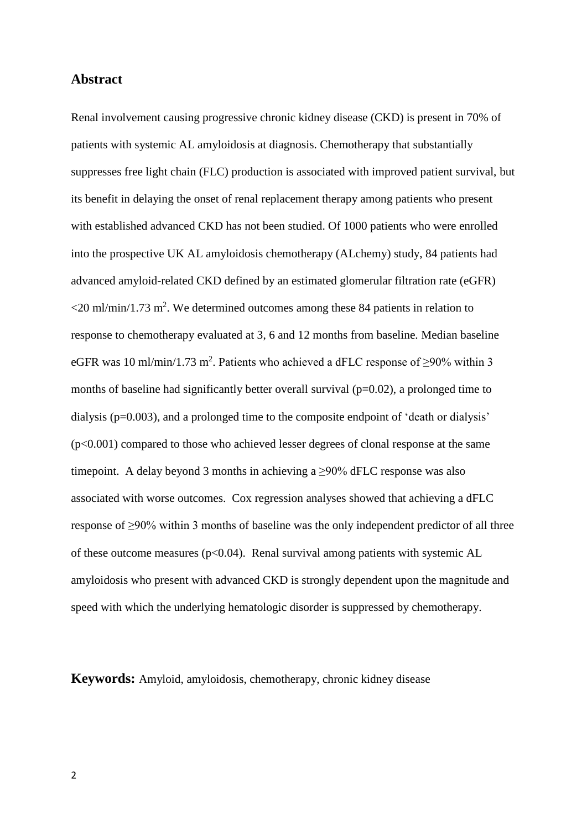## **Abstract**

Renal involvement causing progressive chronic kidney disease (CKD) is present in 70% of patients with systemic AL amyloidosis at diagnosis. Chemotherapy that substantially suppresses free light chain (FLC) production is associated with improved patient survival, but its benefit in delaying the onset of renal replacement therapy among patients who present with established advanced CKD has not been studied. Of 1000 patients who were enrolled into the prospective UK AL amyloidosis chemotherapy (ALchemy) study, 84 patients had advanced amyloid-related CKD defined by an estimated glomerular filtration rate (eGFR)  $\langle$  20 ml/min/1.73 m<sup>2</sup>. We determined outcomes among these 84 patients in relation to response to chemotherapy evaluated at 3, 6 and 12 months from baseline. Median baseline eGFR was 10 ml/min/1.73 m<sup>2</sup>. Patients who achieved a dFLC response of  $\geq$ 90% within 3 months of baseline had significantly better overall survival (p=0.02), a prolonged time to dialysis (p=0.003), and a prolonged time to the composite endpoint of 'death or dialysis'  $(p<0.001)$  compared to those who achieved lesser degrees of clonal response at the same timepoint. A delay beyond 3 months in achieving a  $\geq$ 90% dFLC response was also associated with worse outcomes. Cox regression analyses showed that achieving a dFLC response of ≥90% within 3 months of baseline was the only independent predictor of all three of these outcome measures ( $p<0.04$ ). Renal survival among patients with systemic AL amyloidosis who present with advanced CKD is strongly dependent upon the magnitude and speed with which the underlying hematologic disorder is suppressed by chemotherapy.

**Keywords:** Amyloid, amyloidosis, chemotherapy, chronic kidney disease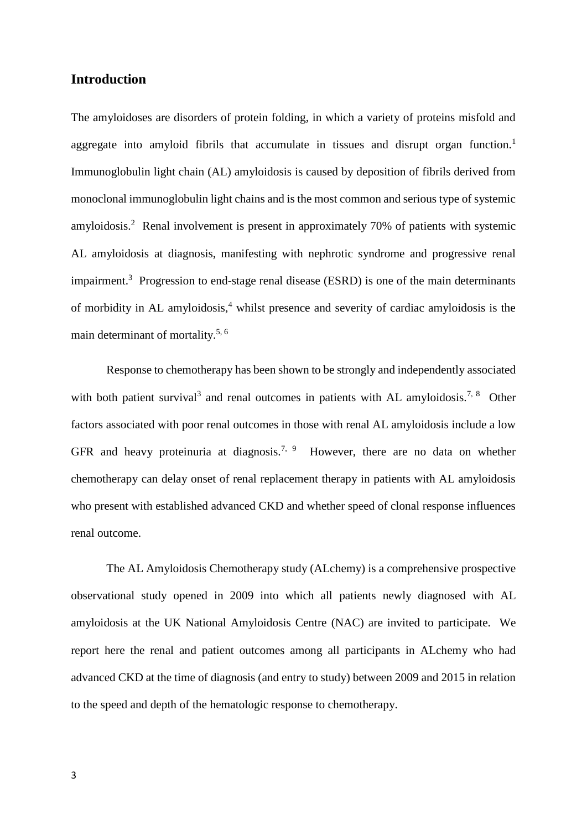## **Introduction**

The amyloidoses are disorders of protein folding, in which a variety of proteins misfold and aggregate into amyloid fibrils that accumulate in tissues and disrupt organ function.<sup>1</sup> Immunoglobulin light chain (AL) amyloidosis is caused by deposition of fibrils derived from monoclonal immunoglobulin light chains and is the most common and serious type of systemic amyloidosis.<sup>2</sup> Renal involvement is present in approximately 70% of patients with systemic AL amyloidosis at diagnosis, manifesting with nephrotic syndrome and progressive renal impairment.<sup>3</sup> Progression to end-stage renal disease (ESRD) is one of the main determinants of morbidity in AL amyloidosis,<sup>4</sup> whilst presence and severity of cardiac amyloidosis is the main determinant of mortality.5, 6

Response to chemotherapy has been shown to be strongly and independently associated with both patient survival<sup>3</sup> and renal outcomes in patients with AL amyloidosis.<sup>7, 8</sup> Other factors associated with poor renal outcomes in those with renal AL amyloidosis include a low GFR and heavy proteinuria at diagnosis.<sup>7, 9</sup> However, there are no data on whether chemotherapy can delay onset of renal replacement therapy in patients with AL amyloidosis who present with established advanced CKD and whether speed of clonal response influences renal outcome.

The AL Amyloidosis Chemotherapy study (ALchemy) is a comprehensive prospective observational study opened in 2009 into which all patients newly diagnosed with AL amyloidosis at the UK National Amyloidosis Centre (NAC) are invited to participate. We report here the renal and patient outcomes among all participants in ALchemy who had advanced CKD at the time of diagnosis (and entry to study) between 2009 and 2015 in relation to the speed and depth of the hematologic response to chemotherapy.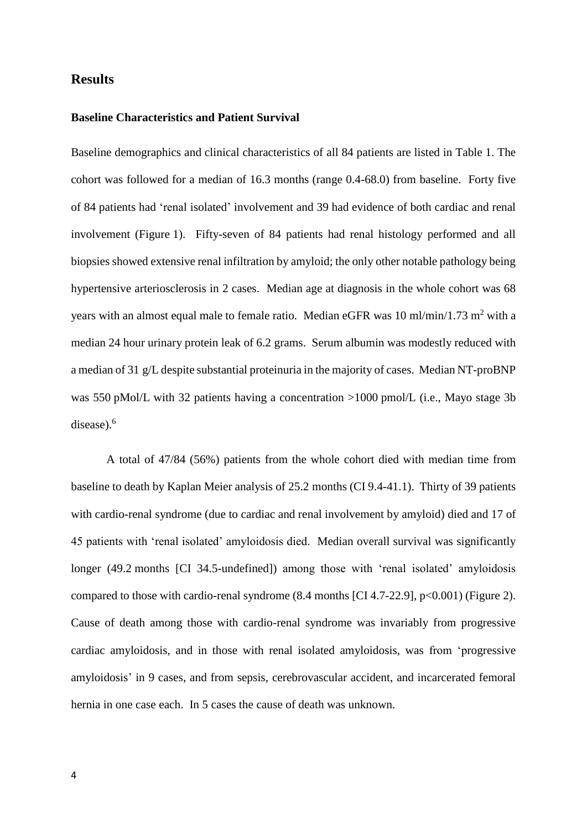## **Results**

#### **Baseline Characteristics and Patient Survival**

Baseline demographics and clinical characteristics of all 84 patients are listed in Table 1. The cohort was followed for a median of 16.3 months (range 0.4-68.0) from baseline. Forty five of 84 patients had 'renal isolated' involvement and 39 had evidence of both cardiac and renal involvement (Figure 1). Fifty-seven of 84 patients had renal histology performed and all biopsies showed extensive renal infiltration by amyloid; the only other notable pathology being hypertensive arteriosclerosis in 2 cases. Median age at diagnosis in the whole cohort was 68 years with an almost equal male to female ratio. Median eGFR was 10 ml/min/1.73 m<sup>2</sup> with a median 24 hour urinary protein leak of 6.2 grams. Serum albumin was modestly reduced with a median of 31 g/L despite substantial proteinuria in the majority of cases. Median NT-proBNP was 550 pMol/L with 32 patients having a concentration >1000 pmol/L (i.e., Mayo stage 3b disease).<sup>6</sup>

A total of 47/84 (56%) patients from the whole cohort died with median time from baseline to death by Kaplan Meier analysis of 25.2 months (CI 9.4-41.1). Thirty of 39 patients with cardio-renal syndrome (due to cardiac and renal involvement by amyloid) died and 17 of 45 patients with 'renal isolated' amyloidosis died. Median overall survival was significantly longer (49.2 months [CI 34.5-undefined]) among those with 'renal isolated' amyloidosis compared to those with cardio-renal syndrome  $(8.4 \text{ months} [CI 4.7-22.9], p<0.001)$  (Figure 2). Cause of death among those with cardio-renal syndrome was invariably from progressive cardiac amyloidosis, and in those with renal isolated amyloidosis, was from 'progressive amyloidosis' in 9 cases, and from sepsis, cerebrovascular accident, and incarcerated femoral hernia in one case each. In 5 cases the cause of death was unknown.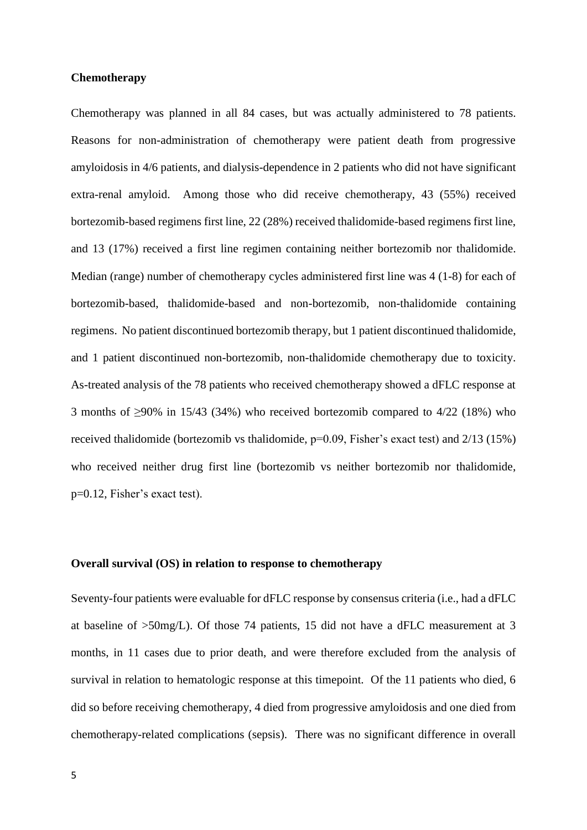#### **Chemotherapy**

Chemotherapy was planned in all 84 cases, but was actually administered to 78 patients. Reasons for non-administration of chemotherapy were patient death from progressive amyloidosis in 4/6 patients, and dialysis-dependence in 2 patients who did not have significant extra-renal amyloid. Among those who did receive chemotherapy, 43 (55%) received bortezomib-based regimens first line, 22 (28%) received thalidomide-based regimens first line, and 13 (17%) received a first line regimen containing neither bortezomib nor thalidomide. Median (range) number of chemotherapy cycles administered first line was 4 (1-8) for each of bortezomib-based, thalidomide-based and non-bortezomib, non-thalidomide containing regimens. No patient discontinued bortezomib therapy, but 1 patient discontinued thalidomide, and 1 patient discontinued non-bortezomib, non-thalidomide chemotherapy due to toxicity. As-treated analysis of the 78 patients who received chemotherapy showed a dFLC response at 3 months of ≥90% in 15/43 (34%) who received bortezomib compared to  $4/22$  (18%) who received thalidomide (bortezomib vs thalidomide, p=0.09, Fisher's exact test) and 2/13 (15%) who received neither drug first line (bortezomib vs neither bortezomib nor thalidomide, p=0.12, Fisher's exact test).

#### **Overall survival (OS) in relation to response to chemotherapy**

Seventy-four patients were evaluable for dFLC response by consensus criteria (i.e., had a dFLC at baseline of >50mg/L). Of those 74 patients, 15 did not have a dFLC measurement at 3 months, in 11 cases due to prior death, and were therefore excluded from the analysis of survival in relation to hematologic response at this timepoint. Of the 11 patients who died, 6 did so before receiving chemotherapy, 4 died from progressive amyloidosis and one died from chemotherapy-related complications (sepsis). There was no significant difference in overall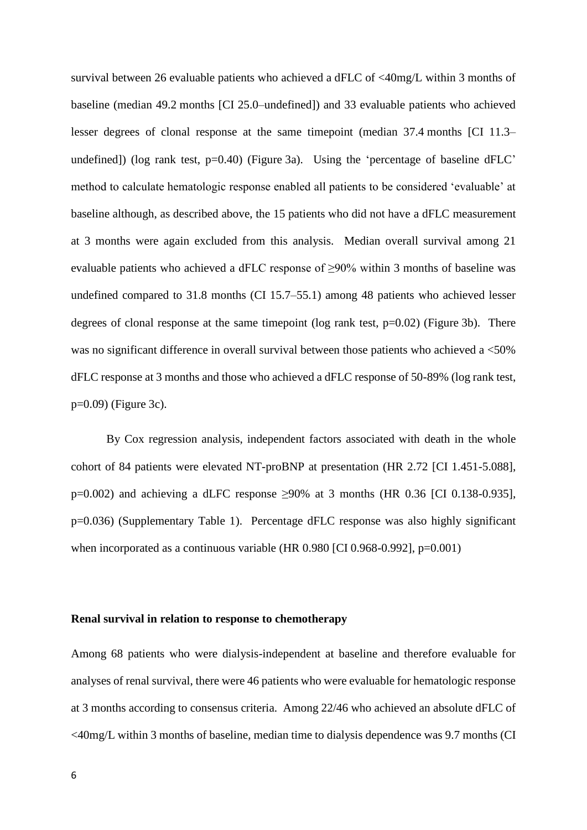survival between 26 evaluable patients who achieved a dFLC of <40mg/L within 3 months of baseline (median 49.2 months [CI 25.0–undefined]) and 33 evaluable patients who achieved lesser degrees of clonal response at the same timepoint (median 37.4 months [CI 11.3– undefined]) (log rank test,  $p=0.40$ ) (Figure 3a). Using the 'percentage of baseline dFLC' method to calculate hematologic response enabled all patients to be considered 'evaluable' at baseline although, as described above, the 15 patients who did not have a dFLC measurement at 3 months were again excluded from this analysis. Median overall survival among 21 evaluable patients who achieved a dFLC response of ≥90% within 3 months of baseline was undefined compared to 31.8 months (CI 15.7–55.1) among 48 patients who achieved lesser degrees of clonal response at the same timepoint (log rank test,  $p=0.02$ ) (Figure 3b). There was no significant difference in overall survival between those patients who achieved a <50% dFLC response at 3 months and those who achieved a dFLC response of 50-89% (log rank test, p=0.09) (Figure 3c).

By Cox regression analysis, independent factors associated with death in the whole cohort of 84 patients were elevated NT-proBNP at presentation (HR 2.72 [CI 1.451-5.088], p=0.002) and achieving a dLFC response  $\geq$ 90% at 3 months (HR 0.36 [CI 0.138-0.935], p=0.036) (Supplementary Table 1). Percentage dFLC response was also highly significant when incorporated as a continuous variable (HR 0.980 [CI 0.968-0.992], p=0.001)

#### **Renal survival in relation to response to chemotherapy**

Among 68 patients who were dialysis-independent at baseline and therefore evaluable for analyses of renal survival, there were 46 patients who were evaluable for hematologic response at 3 months according to consensus criteria. Among 22/46 who achieved an absolute dFLC of <40mg/L within 3 months of baseline, median time to dialysis dependence was 9.7 months (CI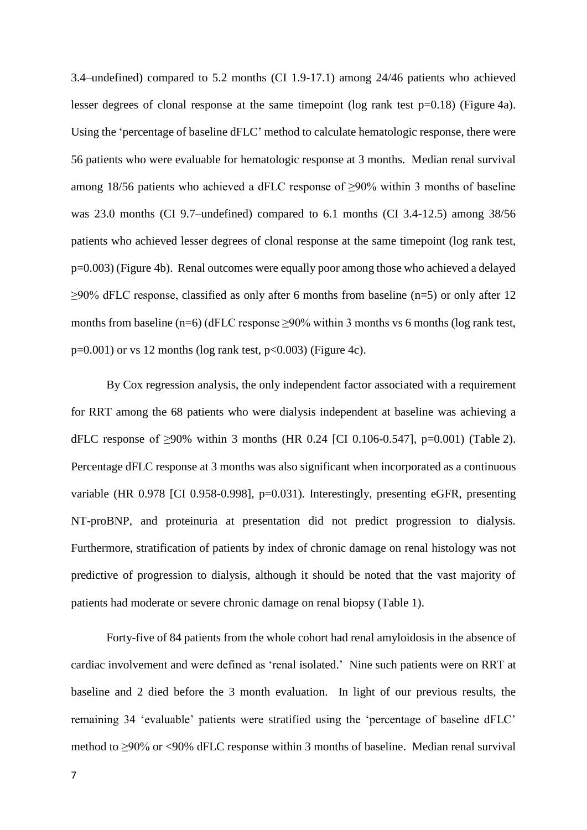3.4–undefined) compared to 5.2 months (CI 1.9-17.1) among 24/46 patients who achieved lesser degrees of clonal response at the same timepoint (log rank test  $p=0.18$ ) (Figure 4a). Using the 'percentage of baseline dFLC' method to calculate hematologic response, there were 56 patients who were evaluable for hematologic response at 3 months. Median renal survival among 18/56 patients who achieved a dFLC response of ≥90% within 3 months of baseline was 23.0 months (CI 9.7–undefined) compared to 6.1 months (CI 3.4-12.5) among 38/56 patients who achieved lesser degrees of clonal response at the same timepoint (log rank test, p=0.003) (Figure 4b). Renal outcomes were equally poor among those who achieved a delayed  $\geq$ 90% dFLC response, classified as only after 6 months from baseline (n=5) or only after 12 months from baseline (n=6) (dFLC response  $\geq$ 90% within 3 months vs 6 months (log rank test,  $p=0.001$ ) or vs 12 months (log rank test,  $p<0.003$ ) (Figure 4c).

By Cox regression analysis, the only independent factor associated with a requirement for RRT among the 68 patients who were dialysis independent at baseline was achieving a dFLC response of ≥90% within 3 months (HR 0.24 [CI 0.106-0.547], p=0.001) (Table 2). Percentage dFLC response at 3 months was also significant when incorporated as a continuous variable (HR 0.978 [CI 0.958-0.998], p=0.031). Interestingly, presenting eGFR, presenting NT-proBNP, and proteinuria at presentation did not predict progression to dialysis. Furthermore, stratification of patients by index of chronic damage on renal histology was not predictive of progression to dialysis, although it should be noted that the vast majority of patients had moderate or severe chronic damage on renal biopsy (Table 1).

Forty-five of 84 patients from the whole cohort had renal amyloidosis in the absence of cardiac involvement and were defined as 'renal isolated.' Nine such patients were on RRT at baseline and 2 died before the 3 month evaluation. In light of our previous results, the remaining 34 'evaluable' patients were stratified using the 'percentage of baseline dFLC' method to ≥90% or <90% dFLC response within 3 months of baseline. Median renal survival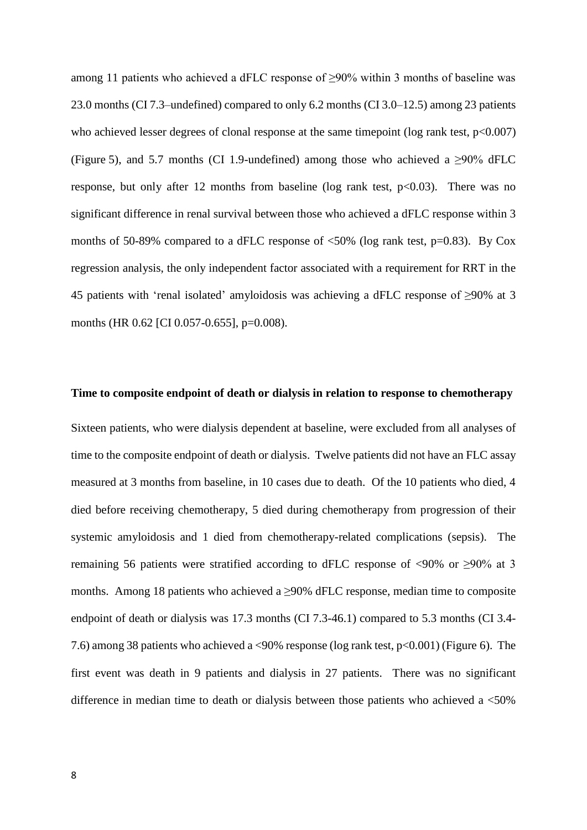among 11 patients who achieved a dFLC response of ≥90% within 3 months of baseline was 23.0 months (CI 7.3–undefined) compared to only 6.2 months (CI 3.0–12.5) among 23 patients who achieved lesser degrees of clonal response at the same timepoint (log rank test,  $p<0.007$ ) (Figure 5), and 5.7 months (CI 1.9-undefined) among those who achieved a ≥90% dFLC response, but only after 12 months from baseline (log rank test,  $p<0.03$ ). There was no significant difference in renal survival between those who achieved a dFLC response within 3 months of 50-89% compared to a dFLC response of <50% (log rank test, p=0.83). By Cox regression analysis, the only independent factor associated with a requirement for RRT in the 45 patients with 'renal isolated' amyloidosis was achieving a dFLC response of ≥90% at 3 months (HR 0.62 [CI 0.057-0.655], p=0.008).

#### **Time to composite endpoint of death or dialysis in relation to response to chemotherapy**

Sixteen patients, who were dialysis dependent at baseline, were excluded from all analyses of time to the composite endpoint of death or dialysis. Twelve patients did not have an FLC assay measured at 3 months from baseline, in 10 cases due to death. Of the 10 patients who died, 4 died before receiving chemotherapy, 5 died during chemotherapy from progression of their systemic amyloidosis and 1 died from chemotherapy-related complications (sepsis). The remaining 56 patients were stratified according to dFLC response of <90% or  $\geq$ 90% at 3 months. Among 18 patients who achieved a  $\geq$ 90% dFLC response, median time to composite endpoint of death or dialysis was 17.3 months (CI 7.3-46.1) compared to 5.3 months (CI 3.4- 7.6) among 38 patients who achieved a <90% response (log rank test, p<0.001) (Figure 6). The first event was death in 9 patients and dialysis in 27 patients. There was no significant difference in median time to death or dialysis between those patients who achieved a  $<50\%$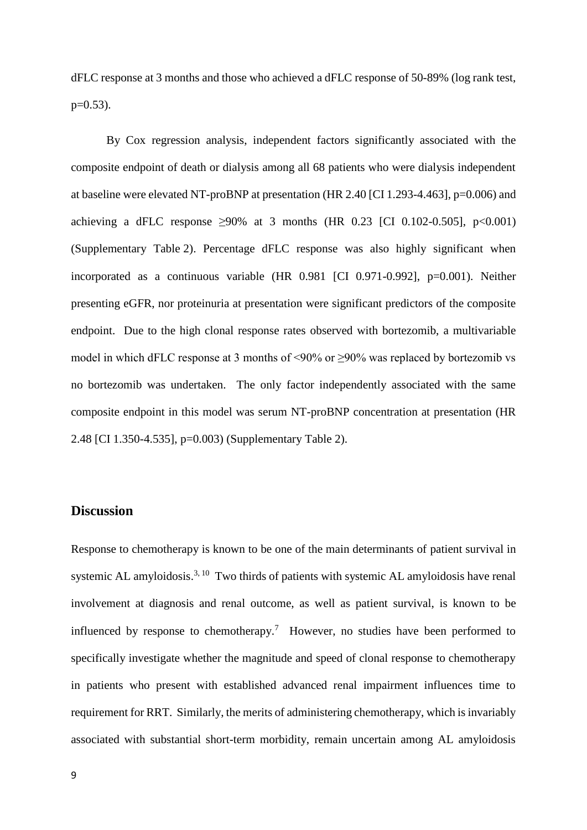dFLC response at 3 months and those who achieved a dFLC response of 50-89% (log rank test,  $p=0.53$ ).

By Cox regression analysis, independent factors significantly associated with the composite endpoint of death or dialysis among all 68 patients who were dialysis independent at baseline were elevated NT-proBNP at presentation (HR 2.40 [CI 1.293-4.463], p=0.006) and achieving a dFLC response  $\geq 90\%$  at 3 months (HR 0.23 [CI 0.102-0.505], p<0.001) (Supplementary Table 2). Percentage dFLC response was also highly significant when incorporated as a continuous variable (HR 0.981 [CI 0.971-0.992], p=0.001). Neither presenting eGFR, nor proteinuria at presentation were significant predictors of the composite endpoint. Due to the high clonal response rates observed with bortezomib, a multivariable model in which dFLC response at 3 months of <90% or  $\geq$ 90% was replaced by bortezomib vs no bortezomib was undertaken. The only factor independently associated with the same composite endpoint in this model was serum NT-proBNP concentration at presentation (HR 2.48 [CI 1.350-4.535], p=0.003) (Supplementary Table 2).

## **Discussion**

Response to chemotherapy is known to be one of the main determinants of patient survival in systemic AL amyloidosis.<sup>3, 10</sup> Two thirds of patients with systemic AL amyloidosis have renal involvement at diagnosis and renal outcome, as well as patient survival, is known to be influenced by response to chemotherapy.<sup>7</sup> However, no studies have been performed to specifically investigate whether the magnitude and speed of clonal response to chemotherapy in patients who present with established advanced renal impairment influences time to requirement for RRT. Similarly, the merits of administering chemotherapy, which is invariably associated with substantial short-term morbidity, remain uncertain among AL amyloidosis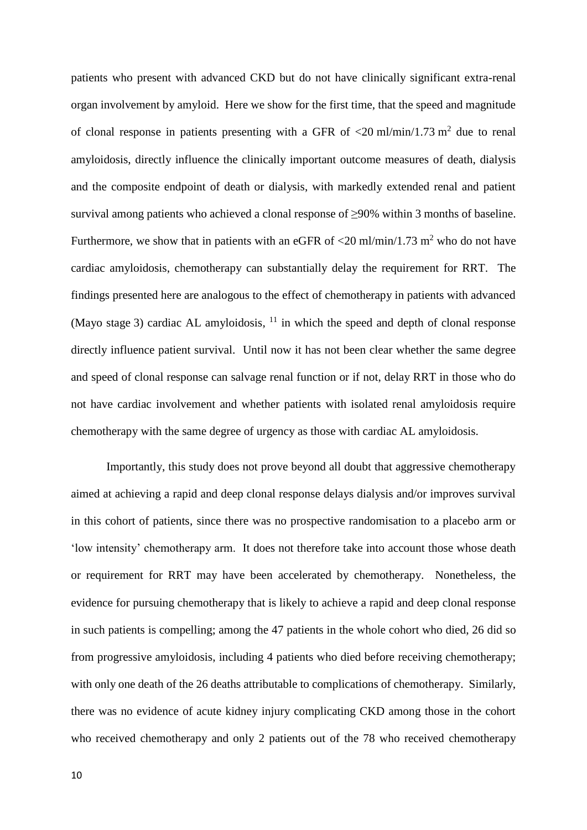patients who present with advanced CKD but do not have clinically significant extra-renal organ involvement by amyloid. Here we show for the first time, that the speed and magnitude of clonal response in patients presenting with a GFR of  $\langle 20 \text{ ml/min}/1.73 \text{ m}^2$  due to renal amyloidosis, directly influence the clinically important outcome measures of death, dialysis and the composite endpoint of death or dialysis, with markedly extended renal and patient survival among patients who achieved a clonal response of ≥90% within 3 months of baseline. Furthermore, we show that in patients with an eGFR of  $\langle 20 \text{ ml/min}/1.73 \text{ m}^2 \rangle$  who do not have cardiac amyloidosis, chemotherapy can substantially delay the requirement for RRT. The findings presented here are analogous to the effect of chemotherapy in patients with advanced (Mayo stage 3) cardiac AL amyloidosis,  $11$  in which the speed and depth of clonal response directly influence patient survival. Until now it has not been clear whether the same degree and speed of clonal response can salvage renal function or if not, delay RRT in those who do not have cardiac involvement and whether patients with isolated renal amyloidosis require chemotherapy with the same degree of urgency as those with cardiac AL amyloidosis.

Importantly, this study does not prove beyond all doubt that aggressive chemotherapy aimed at achieving a rapid and deep clonal response delays dialysis and/or improves survival in this cohort of patients, since there was no prospective randomisation to a placebo arm or 'low intensity' chemotherapy arm. It does not therefore take into account those whose death or requirement for RRT may have been accelerated by chemotherapy. Nonetheless, the evidence for pursuing chemotherapy that is likely to achieve a rapid and deep clonal response in such patients is compelling; among the 47 patients in the whole cohort who died, 26 did so from progressive amyloidosis, including 4 patients who died before receiving chemotherapy; with only one death of the 26 deaths attributable to complications of chemotherapy. Similarly, there was no evidence of acute kidney injury complicating CKD among those in the cohort who received chemotherapy and only 2 patients out of the 78 who received chemotherapy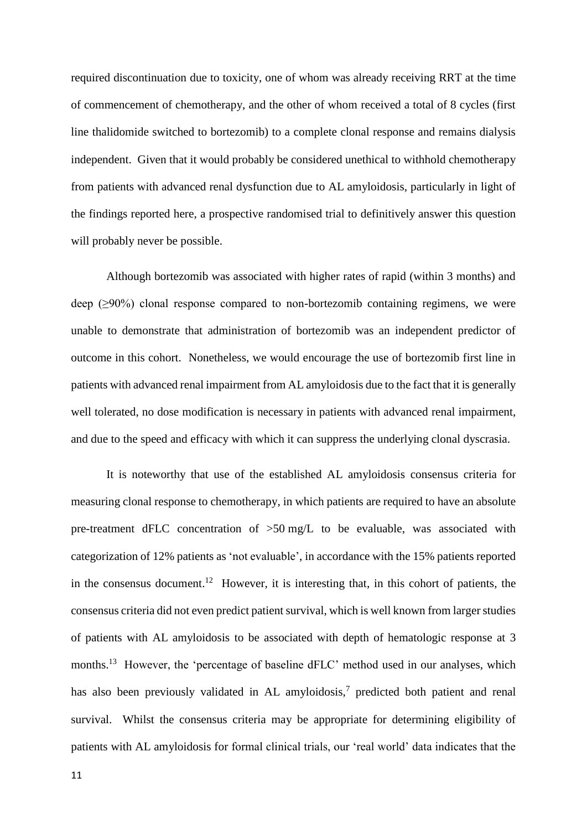required discontinuation due to toxicity, one of whom was already receiving RRT at the time of commencement of chemotherapy, and the other of whom received a total of 8 cycles (first line thalidomide switched to bortezomib) to a complete clonal response and remains dialysis independent. Given that it would probably be considered unethical to withhold chemotherapy from patients with advanced renal dysfunction due to AL amyloidosis, particularly in light of the findings reported here, a prospective randomised trial to definitively answer this question will probably never be possible.

Although bortezomib was associated with higher rates of rapid (within 3 months) and deep (≥90%) clonal response compared to non-bortezomib containing regimens, we were unable to demonstrate that administration of bortezomib was an independent predictor of outcome in this cohort. Nonetheless, we would encourage the use of bortezomib first line in patients with advanced renal impairment from AL amyloidosis due to the fact that it is generally well tolerated, no dose modification is necessary in patients with advanced renal impairment, and due to the speed and efficacy with which it can suppress the underlying clonal dyscrasia.

It is noteworthy that use of the established AL amyloidosis consensus criteria for measuring clonal response to chemotherapy, in which patients are required to have an absolute pre-treatment dFLC concentration of >50 mg/L to be evaluable, was associated with categorization of 12% patients as 'not evaluable', in accordance with the 15% patients reported in the consensus document.<sup>12</sup> However, it is interesting that, in this cohort of patients, the consensus criteria did not even predict patient survival, which is well known from larger studies of patients with AL amyloidosis to be associated with depth of hematologic response at 3 months.<sup>13</sup> However, the 'percentage of baseline dFLC' method used in our analyses, which has also been previously validated in AL amyloidosis,<sup>7</sup> predicted both patient and renal survival. Whilst the consensus criteria may be appropriate for determining eligibility of patients with AL amyloidosis for formal clinical trials, our 'real world' data indicates that the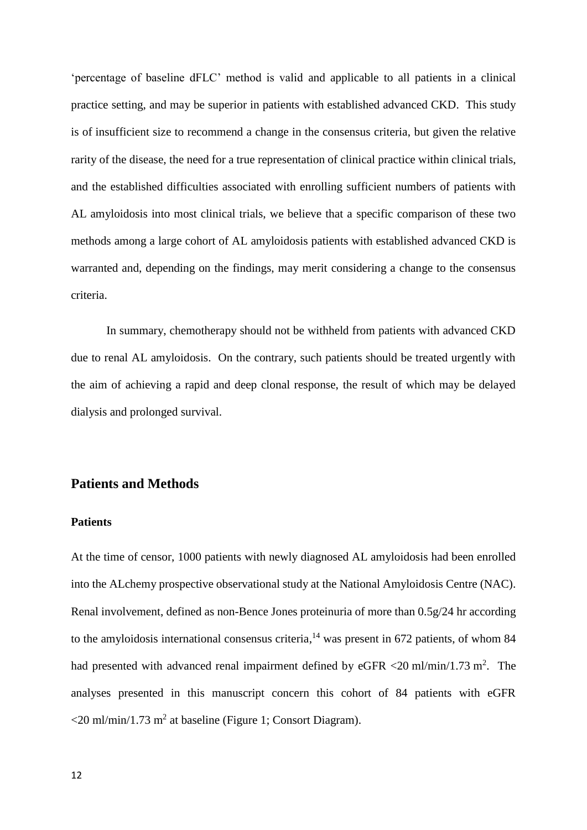'percentage of baseline dFLC' method is valid and applicable to all patients in a clinical practice setting, and may be superior in patients with established advanced CKD. This study is of insufficient size to recommend a change in the consensus criteria, but given the relative rarity of the disease, the need for a true representation of clinical practice within clinical trials, and the established difficulties associated with enrolling sufficient numbers of patients with AL amyloidosis into most clinical trials, we believe that a specific comparison of these two methods among a large cohort of AL amyloidosis patients with established advanced CKD is warranted and, depending on the findings, may merit considering a change to the consensus criteria.

In summary, chemotherapy should not be withheld from patients with advanced CKD due to renal AL amyloidosis. On the contrary, such patients should be treated urgently with the aim of achieving a rapid and deep clonal response, the result of which may be delayed dialysis and prolonged survival.

# **Patients and Methods**

#### **Patients**

At the time of censor, 1000 patients with newly diagnosed AL amyloidosis had been enrolled into the ALchemy prospective observational study at the National Amyloidosis Centre (NAC). Renal involvement, defined as non-Bence Jones proteinuria of more than 0.5g/24 hr according to the amyloidosis international consensus criteria,<sup>14</sup> was present in 672 patients, of whom 84 had presented with advanced renal impairment defined by eGFR  $\langle 20 \text{ ml/min}/1.73 \text{ m}^2$ . The analyses presented in this manuscript concern this cohort of 84 patients with eGFR  $\langle 20 \text{ ml/min}/1.73 \text{ m}^2$  at baseline (Figure 1; Consort Diagram).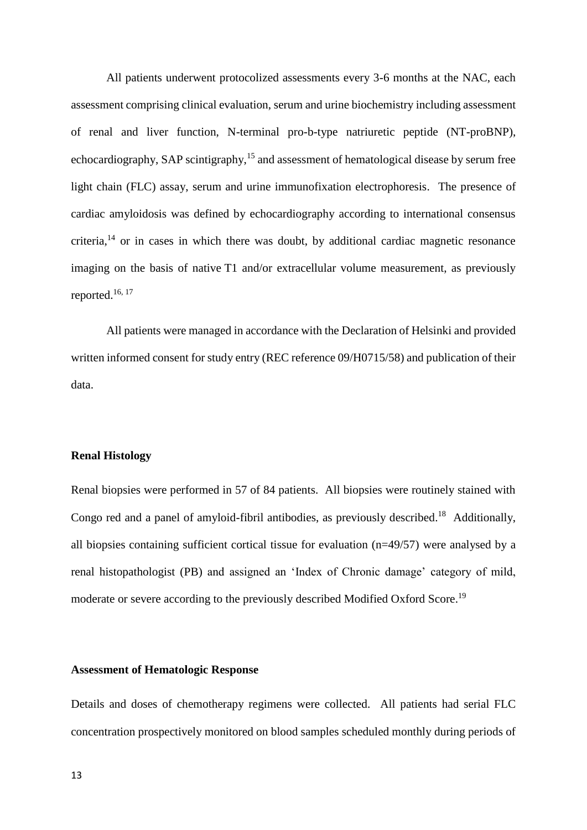All patients underwent protocolized assessments every 3-6 months at the NAC, each assessment comprising clinical evaluation, serum and urine biochemistry including assessment of renal and liver function, N-terminal pro-b-type natriuretic peptide (NT-proBNP), echocardiography, SAP scintigraphy,<sup>15</sup> and assessment of hematological disease by serum free light chain (FLC) assay, serum and urine immunofixation electrophoresis. The presence of cardiac amyloidosis was defined by echocardiography according to international consensus criteria, $14$  or in cases in which there was doubt, by additional cardiac magnetic resonance imaging on the basis of native T1 and/or extracellular volume measurement, as previously reported.16, 17

All patients were managed in accordance with the Declaration of Helsinki and provided written informed consent for study entry (REC reference 09/H0715/58) and publication of their data.

### **Renal Histology**

Renal biopsies were performed in 57 of 84 patients. All biopsies were routinely stained with Congo red and a panel of amyloid-fibril antibodies, as previously described.<sup>18</sup> Additionally, all biopsies containing sufficient cortical tissue for evaluation (n=49/57) were analysed by a renal histopathologist (PB) and assigned an 'Index of Chronic damage' category of mild, moderate or severe according to the previously described Modified Oxford Score.<sup>19</sup>

#### **Assessment of Hematologic Response**

Details and doses of chemotherapy regimens were collected. All patients had serial FLC concentration prospectively monitored on blood samples scheduled monthly during periods of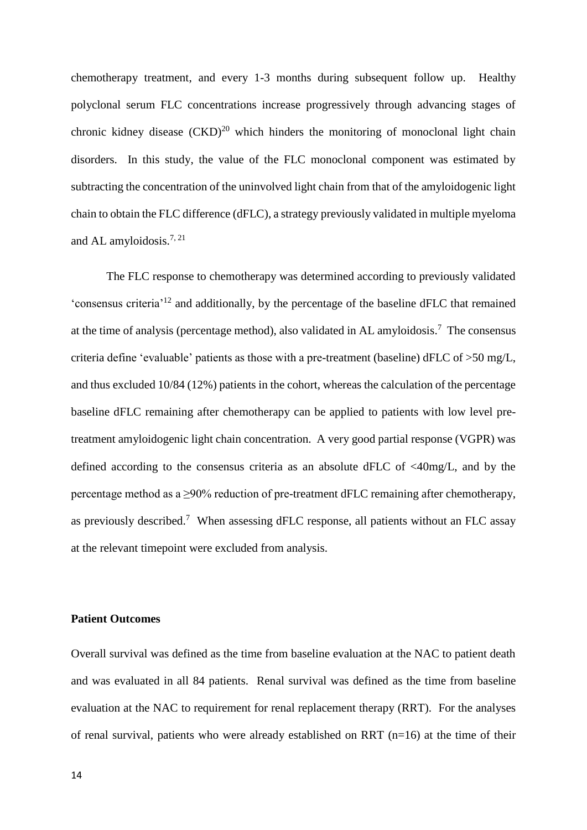chemotherapy treatment, and every 1-3 months during subsequent follow up. Healthy polyclonal serum FLC concentrations increase progressively through advancing stages of chronic kidney disease  $(CKD)^{20}$  which hinders the monitoring of monoclonal light chain disorders. In this study, the value of the FLC monoclonal component was estimated by subtracting the concentration of the uninvolved light chain from that of the amyloidogenic light chain to obtain the FLC difference (dFLC), a strategy previously validated in multiple myeloma and AL amyloidosis.<sup>7, 21</sup>

The FLC response to chemotherapy was determined according to previously validated 'consensus criteria'<sup>12</sup> and additionally, by the percentage of the baseline dFLC that remained at the time of analysis (percentage method), also validated in AL amyloidosis.<sup>7</sup> The consensus criteria define 'evaluable' patients as those with a pre-treatment (baseline) dFLC of >50 mg/L, and thus excluded 10/84 (12%) patients in the cohort, whereas the calculation of the percentage baseline dFLC remaining after chemotherapy can be applied to patients with low level pretreatment amyloidogenic light chain concentration. A very good partial response (VGPR) was defined according to the consensus criteria as an absolute dFLC of <40mg/L, and by the percentage method as a ≥90% reduction of pre-treatment dFLC remaining after chemotherapy, as previously described.<sup>7</sup> When assessing dFLC response, all patients without an FLC assay at the relevant timepoint were excluded from analysis.

#### **Patient Outcomes**

Overall survival was defined as the time from baseline evaluation at the NAC to patient death and was evaluated in all 84 patients. Renal survival was defined as the time from baseline evaluation at the NAC to requirement for renal replacement therapy (RRT). For the analyses of renal survival, patients who were already established on RRT  $(n=16)$  at the time of their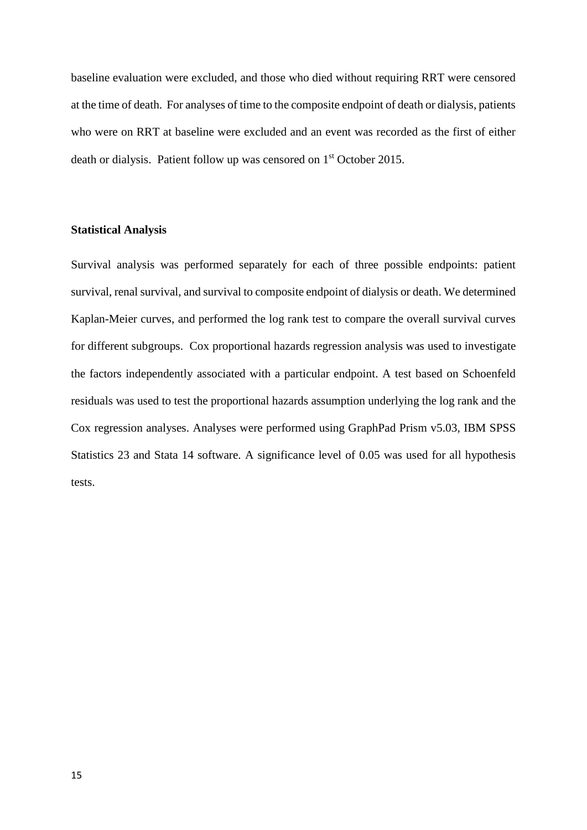baseline evaluation were excluded, and those who died without requiring RRT were censored at the time of death. For analyses of time to the composite endpoint of death or dialysis, patients who were on RRT at baseline were excluded and an event was recorded as the first of either death or dialysis. Patient follow up was censored on 1st October 2015.

#### **Statistical Analysis**

Survival analysis was performed separately for each of three possible endpoints: patient survival, renal survival, and survival to composite endpoint of dialysis or death. We determined Kaplan-Meier curves, and performed the log rank test to compare the overall survival curves for different subgroups. Cox proportional hazards regression analysis was used to investigate the factors independently associated with a particular endpoint. A test based on Schoenfeld residuals was used to test the proportional hazards assumption underlying the log rank and the Cox regression analyses. Analyses were performed using GraphPad Prism v5.03, IBM SPSS Statistics 23 and Stata 14 software. A significance level of 0.05 was used for all hypothesis tests.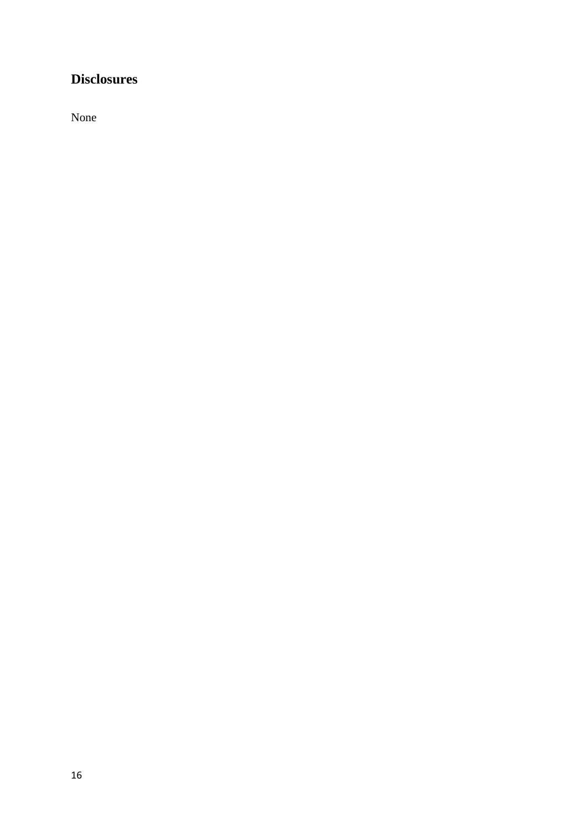# **Disclosures**

None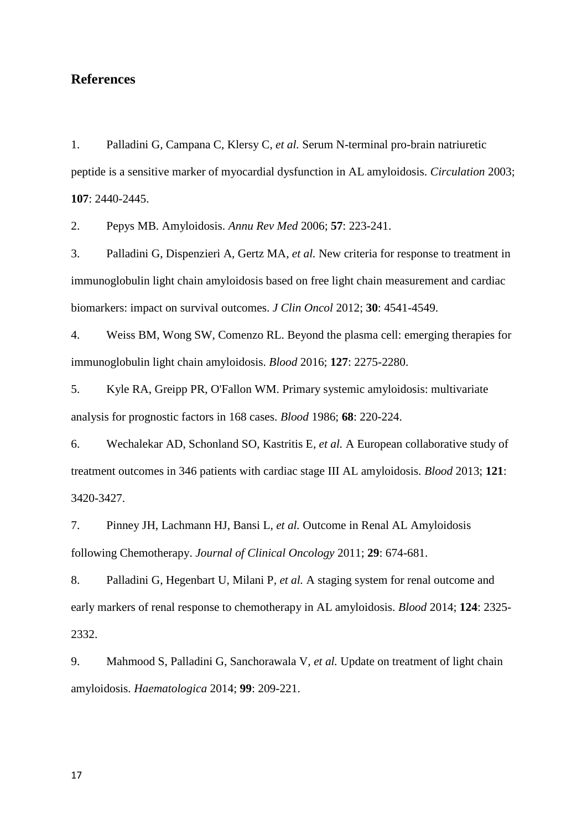## **References**

1. Palladini G, Campana C, Klersy C*, et al.* Serum N-terminal pro-brain natriuretic peptide is a sensitive marker of myocardial dysfunction in AL amyloidosis. *Circulation* 2003; **107**: 2440-2445.

2. Pepys MB. Amyloidosis. *Annu Rev Med* 2006; **57**: 223-241.

3. Palladini G, Dispenzieri A, Gertz MA*, et al.* New criteria for response to treatment in immunoglobulin light chain amyloidosis based on free light chain measurement and cardiac biomarkers: impact on survival outcomes. *J Clin Oncol* 2012; **30**: 4541-4549.

4. Weiss BM, Wong SW, Comenzo RL. Beyond the plasma cell: emerging therapies for immunoglobulin light chain amyloidosis. *Blood* 2016; **127**: 2275-2280.

5. Kyle RA, Greipp PR, O'Fallon WM. Primary systemic amyloidosis: multivariate analysis for prognostic factors in 168 cases. *Blood* 1986; **68**: 220-224.

6. Wechalekar AD, Schonland SO, Kastritis E*, et al.* A European collaborative study of treatment outcomes in 346 patients with cardiac stage III AL amyloidosis. *Blood* 2013; **121**: 3420-3427.

7. Pinney JH, Lachmann HJ, Bansi L*, et al.* Outcome in Renal AL Amyloidosis following Chemotherapy. *Journal of Clinical Oncology* 2011; **29**: 674-681.

8. Palladini G, Hegenbart U, Milani P*, et al.* A staging system for renal outcome and early markers of renal response to chemotherapy in AL amyloidosis. *Blood* 2014; **124**: 2325- 2332.

9. Mahmood S, Palladini G, Sanchorawala V*, et al.* Update on treatment of light chain amyloidosis. *Haematologica* 2014; **99**: 209-221.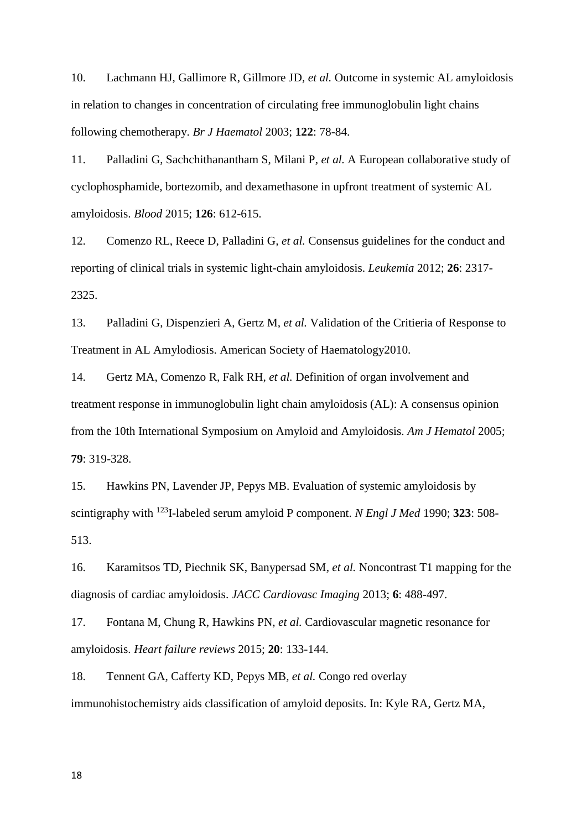10. Lachmann HJ, Gallimore R, Gillmore JD*, et al.* Outcome in systemic AL amyloidosis in relation to changes in concentration of circulating free immunoglobulin light chains following chemotherapy. *Br J Haematol* 2003; **122**: 78-84.

11. Palladini G, Sachchithanantham S, Milani P*, et al.* A European collaborative study of cyclophosphamide, bortezomib, and dexamethasone in upfront treatment of systemic AL amyloidosis. *Blood* 2015; **126**: 612-615.

12. Comenzo RL, Reece D, Palladini G*, et al.* Consensus guidelines for the conduct and reporting of clinical trials in systemic light-chain amyloidosis. *Leukemia* 2012; **26**: 2317- 2325.

13. Palladini G, Dispenzieri A, Gertz M*, et al.* Validation of the Critieria of Response to Treatment in AL Amylodiosis. American Society of Haematology2010.

14. Gertz MA, Comenzo R, Falk RH*, et al.* Definition of organ involvement and treatment response in immunoglobulin light chain amyloidosis (AL): A consensus opinion from the 10th International Symposium on Amyloid and Amyloidosis. *Am J Hematol* 2005; **79**: 319-328.

15. Hawkins PN, Lavender JP, Pepys MB. Evaluation of systemic amyloidosis by scintigraphy with <sup>123</sup>I-labeled serum amyloid P component. *N Engl J Med* 1990; **323**: 508- 513.

16. Karamitsos TD, Piechnik SK, Banypersad SM*, et al.* Noncontrast T1 mapping for the diagnosis of cardiac amyloidosis. *JACC Cardiovasc Imaging* 2013; **6**: 488-497.

17. Fontana M, Chung R, Hawkins PN*, et al.* Cardiovascular magnetic resonance for amyloidosis. *Heart failure reviews* 2015; **20**: 133-144.

18. Tennent GA, Cafferty KD, Pepys MB*, et al.* Congo red overlay immunohistochemistry aids classification of amyloid deposits. In: Kyle RA, Gertz MA,

18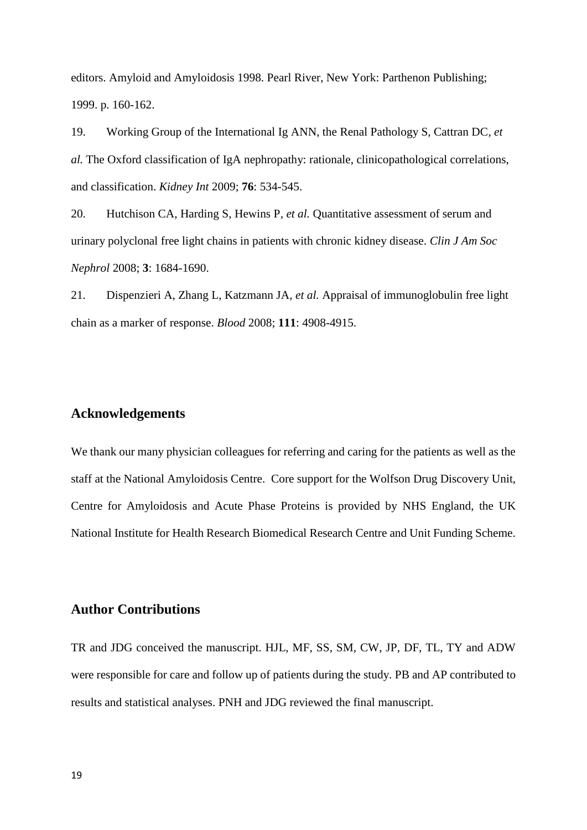editors. Amyloid and Amyloidosis 1998. Pearl River, New York: Parthenon Publishing; 1999. p. 160-162.

19. Working Group of the International Ig ANN, the Renal Pathology S, Cattran DC*, et al.* The Oxford classification of IgA nephropathy: rationale, clinicopathological correlations, and classification. *Kidney Int* 2009; **76**: 534-545.

20. Hutchison CA, Harding S, Hewins P*, et al.* Quantitative assessment of serum and urinary polyclonal free light chains in patients with chronic kidney disease. *Clin J Am Soc Nephrol* 2008; **3**: 1684-1690.

21. Dispenzieri A, Zhang L, Katzmann JA*, et al.* Appraisal of immunoglobulin free light chain as a marker of response. *Blood* 2008; **111**: 4908-4915.

## **Acknowledgements**

We thank our many physician colleagues for referring and caring for the patients as well as the staff at the National Amyloidosis Centre. Core support for the Wolfson Drug Discovery Unit, Centre for Amyloidosis and Acute Phase Proteins is provided by NHS England, the UK National Institute for Health Research Biomedical Research Centre and Unit Funding Scheme.

## **Author Contributions**

TR and JDG conceived the manuscript. HJL, MF, SS, SM, CW, JP, DF, TL, TY and ADW were responsible for care and follow up of patients during the study. PB and AP contributed to results and statistical analyses. PNH and JDG reviewed the final manuscript.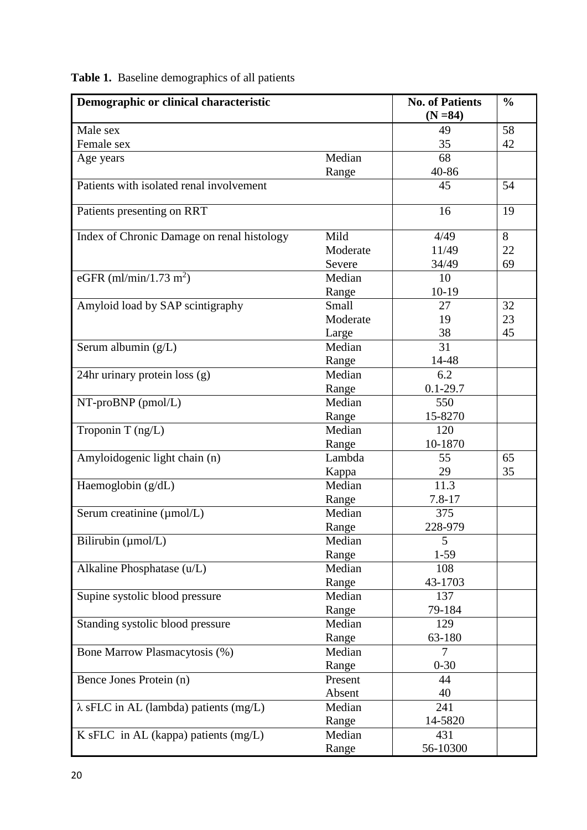| Demographic or clinical characteristic        |          | <b>No. of Patients</b><br>$(N = 84)$ | $\frac{0}{0}$ |
|-----------------------------------------------|----------|--------------------------------------|---------------|
| Male sex                                      |          | 49                                   | 58            |
| Female sex                                    |          | 35                                   | 42            |
| Age years                                     | Median   | 68                                   |               |
|                                               | Range    | 40-86                                |               |
| Patients with isolated renal involvement      |          | 45                                   | 54            |
| Patients presenting on RRT                    |          | 16                                   | 19            |
| Index of Chronic Damage on renal histology    | Mild     | 4/49                                 | 8             |
|                                               | Moderate | 11/49                                | 22            |
|                                               | Severe   | 34/49                                | 69            |
| eGFR (ml/min/1.73 m <sup>2</sup> )            | Median   | 10                                   |               |
|                                               | Range    | $10-19$                              |               |
| Amyloid load by SAP scintigraphy              | Small    | 27                                   | 32            |
|                                               | Moderate | 19                                   | 23            |
|                                               | Large    | 38                                   | 45            |
| Serum albumin (g/L)                           | Median   | 31                                   |               |
|                                               | Range    | 14-48                                |               |
| 24hr urinary protein loss (g)                 | Median   | 6.2                                  |               |
|                                               | Range    | $0.1 - 29.7$                         |               |
| NT-proBNP (pmol/L)                            | Median   | 550                                  |               |
|                                               | Range    | 15-8270                              |               |
| Troponin T (ng/L)                             | Median   | 120                                  |               |
|                                               | Range    | 10-1870                              |               |
| Amyloidogenic light chain (n)                 | Lambda   | 55                                   | 65            |
|                                               | Kappa    | 29                                   | 35            |
| Haemoglobin (g/dL)                            | Median   | 11.3                                 |               |
|                                               | Range    | $7.8 - 17$                           |               |
| Serum creatinine (µmol/L)                     | Median   | 375                                  |               |
|                                               | Range    | 228-979                              |               |
| Bilirubin (µmol/L)                            | Median   | 5                                    |               |
|                                               | Range    | $1 - 59$                             |               |
| Alkaline Phosphatase (u/L)                    | Median   | 108                                  |               |
|                                               | Range    | 43-1703                              |               |
| Supine systolic blood pressure                | Median   | 137                                  |               |
|                                               | Range    | 79-184                               |               |
| Standing systolic blood pressure              | Median   | 129                                  |               |
|                                               | Range    | 63-180                               |               |
| Bone Marrow Plasmacytosis (%)                 | Median   | $\overline{7}$                       |               |
|                                               | Range    | $0 - 30$                             |               |
| Bence Jones Protein (n)                       | Present  | 44                                   |               |
|                                               | Absent   | 40                                   |               |
| $\lambda$ sFLC in AL (lambda) patients (mg/L) | Median   | 241                                  |               |
|                                               | Range    | 14-5820                              |               |
| $K$ sFLC in AL (kappa) patients (mg/L)        | Median   | 431                                  |               |
|                                               | Range    | 56-10300                             |               |

**Table 1.** Baseline demographics of all patients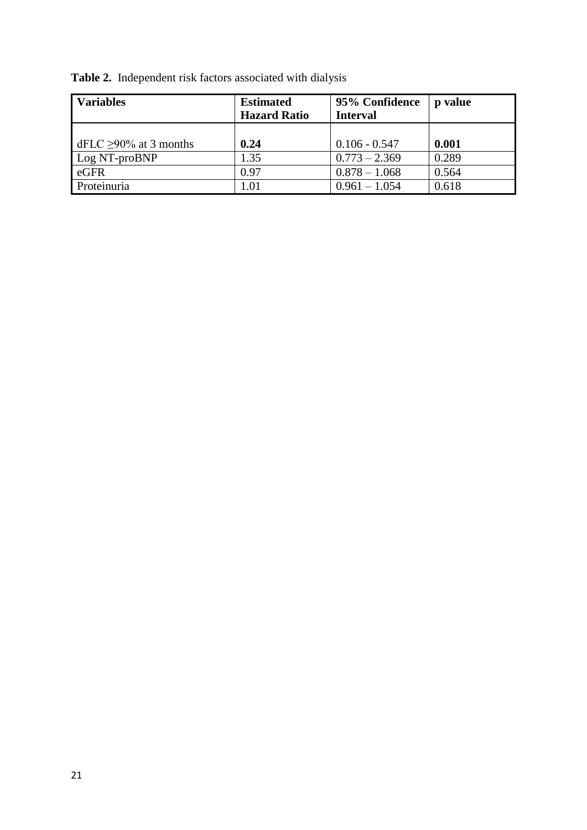**Table 2.** Independent risk factors associated with dialysis

| <b>Variables</b>            | <b>Estimated</b><br><b>Hazard Ratio</b> | 95% Confidence<br><b>Interval</b> | p value |
|-----------------------------|-----------------------------------------|-----------------------------------|---------|
| dFLC $\geq$ 90% at 3 months | 0.24                                    | $0.106 - 0.547$                   | 0.001   |
| Log NT-proBNP               | 1.35                                    | $0.773 - 2.369$                   | 0.289   |
| eGFR                        | 0.97                                    | $0.878 - 1.068$                   | 0.564   |
| Proteinuria                 | 1.01                                    | $0.961 - 1.054$                   | 0.618   |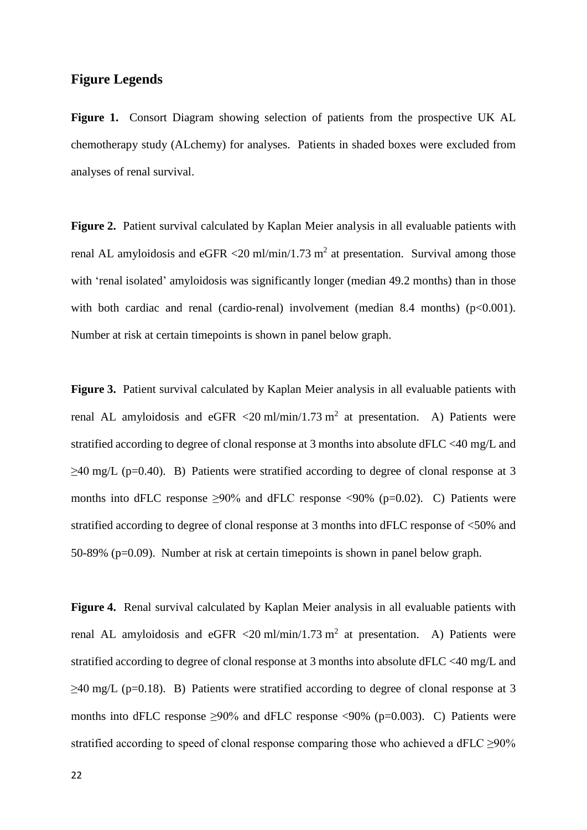## **Figure Legends**

**Figure 1.** Consort Diagram showing selection of patients from the prospective UK AL chemotherapy study (ALchemy) for analyses. Patients in shaded boxes were excluded from analyses of renal survival.

**Figure 2.** Patient survival calculated by Kaplan Meier analysis in all evaluable patients with renal AL amyloidosis and eGFR  $\langle 20 \text{ ml/min}/1.73 \text{ m}^2$  at presentation. Survival among those with 'renal isolated' amyloidosis was significantly longer (median 49.2 months) than in those with both cardiac and renal (cardio-renal) involvement (median 8.4 months)  $(p<0.001)$ . Number at risk at certain timepoints is shown in panel below graph.

**Figure 3.** Patient survival calculated by Kaplan Meier analysis in all evaluable patients with renal AL amyloidosis and eGFR <20 ml/min/1.73 m<sup>2</sup> at presentation. A) Patients were stratified according to degree of clonal response at 3 months into absolute dFLC <40 mg/L and  $\geq$ 40 mg/L (p=0.40). B) Patients were stratified according to degree of clonal response at 3 months into dFLC response  $\geq 90\%$  and dFLC response <90% (p=0.02). C) Patients were stratified according to degree of clonal response at 3 months into dFLC response of <50% and 50-89% (p=0.09). Number at risk at certain timepoints is shown in panel below graph.

**Figure 4.** Renal survival calculated by Kaplan Meier analysis in all evaluable patients with renal AL amyloidosis and eGFR <20 ml/min/1.73 m<sup>2</sup> at presentation. A) Patients were stratified according to degree of clonal response at 3 months into absolute dFLC <40 mg/L and  $\geq$ 40 mg/L (p=0.18). B) Patients were stratified according to degree of clonal response at 3 months into dFLC response  $\geq 90\%$  and dFLC response <90% (p=0.003). C) Patients were stratified according to speed of clonal response comparing those who achieved a dFLC >90%